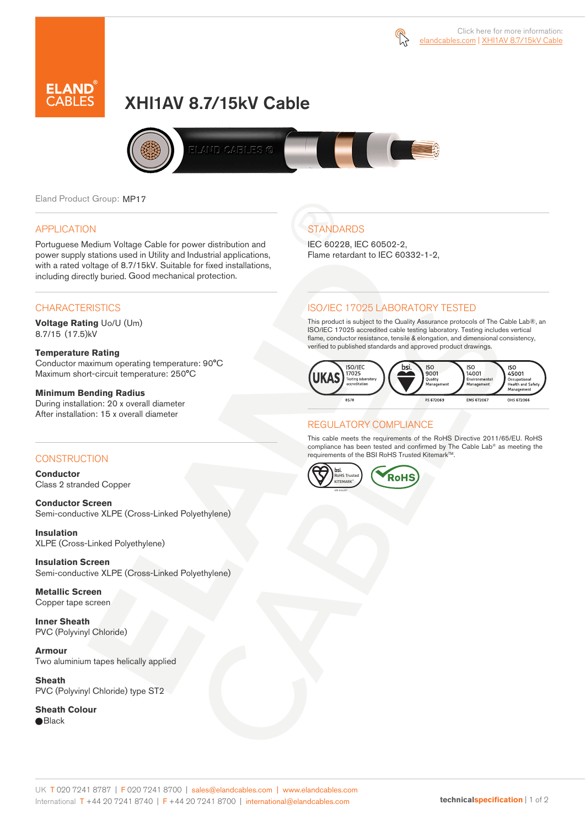



# XHI1AV 8.7/15kV Cable



Eland Product Group: MP17

### APPLICATION

Portuguese Medium Voltage Cable for power distribution and power supply stations used in Utility and Industrial applications, with a rated voltage of 8.7/15kV. Suitable for fixed installations, including directly buried. Good mechanical protection.

### **CHARACTERISTICS**

**Voltage Rating** Uo/U (Um) 8.7/15 (17.5)kV

### **Temperature Rating**

Conductor maximum operating temperature: 90°C Maximum short-circuit temperature: 250°C

### **Minimum Bending Radius**

During installation: 20 x overall diameter After installation: 15 x overall diameter

### CONSTRUCTION

**Conductor**  Class 2 stranded Copper

**Conductor Screen** Semi-conductive XLPE (Cross-Linked Polyethylene)

**Insulation** XLPE (Cross-Linked Polyethylene)

**Insulation Screen** Semi-conductive XLPE (Cross-Linked Polyethylene)

**Metallic Screen**  Copper tape screen

**Inner Sheath** PVC (Polyvinyl Chloride)

**Armour** Two aluminium tapes helically applied

**Sheath** PVC (Polyvinyl Chloride) type ST2

**Sheath Colour Black** 

# **STANDARDS**

IEC 60228, IEC 60502-2, Flame retardant to IEC 60332-1-2,

### ISO/IEC 17025 LABORATORY TESTED

This product is subject to the Quality Assurance protocols of The Cable Lab®, an ISO/IEC 17025 accredited cable testing laboratory. Testing includes vertical flame, conductor resistance, tensile & elongation, and dimensional consistency, verified to published standards and approved product drawings.



### REGULATORY COMPLIANCE

This cable meets the requirements of the RoHS Directive 2011/65/EU. RoHS compliance has been tested and confirmed by The Cable Lab® as meeting the requirements of the BSI RoHS Trusted Kitemark™.